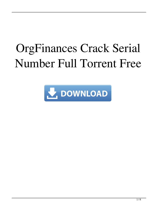# OrgFinances Crack Serial Number Full Torrent Free

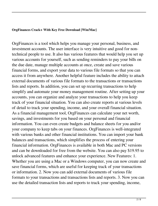#### **OrgFinances Crack+ With Key Free Download [Win/Mac]**

OrgFinances is a tool which helps you manage your personal, business, and investment accounts. The user interface is very intuitive and good for nontechnical people to use. It also has various features that would help you set up various accounts for yourself, such as sending reminders to pay your bills on the due date, manage multiple accounts at once, create and save various financial forms, and export your data to various file formats so that you can access it from anywhere. Another helpful feature includes the ability to attach external documents of various file formats to the transactions or transactions lists and reports. In addition, you can set up recurring transactions to help simplify and automate your money management routine. After setting up your accounts, you can organize and analyze your transactions to help you keep track of your financial situation. You can also create reports at various levels of detail to track your spending, income, and your overall financial situation. As a financial management tool, OrgFinances can calculate your net worth, savings, and investments for you based on your personal and financial information. You can even create budgets and balance sheets for you and/or your company to keep tabs on your finances. OrgFinances is well-integrated with various banks and other financial institutions. You can import your bank balances and transactions, which simplifies the process of entering your financial information. OrgFinances is available in both Mac and PC versions and can be downloaded for free from the website. You can also pay \$19.95 to unlock advanced features and enhance your experience. New Features: 1. Whether you are using a Mac or a Windows computer, you can now create and save financial forms, which are useful for keeping track of your transactions or information. 2. Now you can add external documents of various file formats to your transactions and transactions lists and reports. 3. Now you can use the detailed transaction lists and reports to track your spending, income,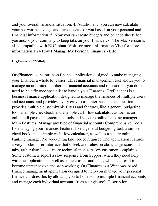and your overall financial situation. 4. Additionally, you can now calculate your net worth, savings, and investments for you based on your personal and financial information. 5. Now you can create budgets and balance sheets for you and/or your company to keep tabs on your finances. 6. The Mac version is also compatible with El Capitan. Visit for more information Visit for more information 1:24 How I Manage My Personal Finances - Life

## **OrgFinances [32|64bit]**

OrgFinances is the business finance application designed to make managing your finances a whole lot easier. This financial management tool allows you to manage an unlimited number of financial accounts and transaction, you don't need to be a finance specialist to handle your Finances. OrgFinances is a business finance application designed to manage the finances of multiple users and accounts, and provides a very easy to use interface. The application provides multiple customizable filters and features, like a general budgeting tool, a simple checkbook and a simple cash flow calculator, as well as an online bill payment system, tax tools and a secure online banking manager. Main Features: Manage any type of financial accounts Comprehensive Tools for managing your finances Features like a general budgeting tool, a simple checkbook and a simple cash flow calculator, as well as a secure online banking manager No accounting knowledge required The application features a very modern user interface that's sleek and relies on clear, large icons and tabs, rather than lots of more technical menus A few customer complaints Some customers report a slow response from Support when they need help with the application, as well as some crashes and bugs, which causes it to become unresponsive and stop working. OrgFinances is a Windows-based finance management application designed to help you manage your personal finances. It does this by allowing you to both set up multiple financial accounts and manage each individual account, from a single tool. Description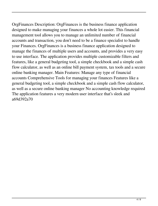OrgFinances Description: OrgFinances is the business finance application designed to make managing your finances a whole lot easier. This financial management tool allows you to manage an unlimited number of financial accounts and transaction, you don't need to be a finance specialist to handle your Finances. OrgFinances is a business finance application designed to manage the finances of multiple users and accounts, and provides a very easy to use interface. The application provides multiple customizable filters and features, like a general budgeting tool, a simple checkbook and a simple cash flow calculator, as well as an online bill payment system, tax tools and a secure online banking manager. Main Features: Manage any type of financial accounts Comprehensive Tools for managing your finances Features like a general budgeting tool, a simple checkbook and a simple cash flow calculator, as well as a secure online banking manager No accounting knowledge required The application features a very modern user interface that's sleek and a69d392a70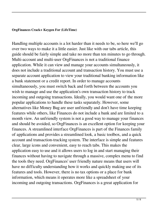#### **OrgFinances Crack+ Keygen For (LifeTime)**

Handling multiple accounts is a lot harder than it needs to be, so here we'll go over two ways to make it a little easier. Just like with our tabs article, this guide should be fairly simple and take no more than ten minutes to go through. Multi-account and multi-user OrgFinances is not a traditional finance application. While it can view and manage your accounts simultaneously, it does not include a traditional account and transaction history. You must use a separate account application to view your traditional banking information like a bank statement or a credit report. In order to manage accounts simultaneously, you must switch back and forth between the accounts you wish to manage and use the application's own transaction history to track incoming and outgoing transactions. Ideally, you would want one of the more popular applications to handle these tasks separately. However, some alternatives like Money Bug are user unfriendly and don't have time keeping features while others, like Finances do not include a bank and are limited to a month view. An unfriendly system is not a good way to manage your finances and should be avoided, so OrgFinances is an excellent option for keeping your finances. A streamlined interface OrgFinances is part of the Finances family of applications and provides a streamlined look, a basic toolbox, and a quick account and transaction-tracking system. The interface is simple and features clear, large icons and convenient, easy to reach tabs. This makes the application easy to use and it allows users to log in and start managing their finances without having to navigate through a massive, complex menu to find the tools they need. OrgFinances' user friendly nature means that users will have no difficulty understanding how it works and quickly making use of its features and tools. However, there is no tax options or a place for bank information, which means it operates more like a spreadsheet of your incoming and outgoing transactions. OrgFinances is a great application for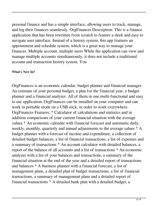personal finance and has a simple interface, allowing users to track, manage, and log their finances seamlessly. OrgFinances Description: This is a finance application that has been rewritten from scratch to feature a sleek and easy to navigate user interface. Instead of a history system, this app features an appointment and schedule system, which is a great way to manage your finances. Multiple account, multiple users While the application can view and manage multiple accounts simultaneously, it does not include a traditional account and transaction history system. You

## **What's New In?**

OrgFinances is an economic calendar, budget planner and financial manager. An estimate of your personal budget, a plan for the financial year, a budget planner and a financial analyzer. All of them in one multi-functional and easy to use application. OrgFinances can be installed on your computer and can work in portable mode on a USB stick, in order to work everywhere. OrgFinances Features: \* Calculator of calculations and statistics and in addition comparisons of your current financial situation with the average values \* An economic calendar with financial forecast and automatic daily, weekly, monthly, quarterly and annual adjustments to the average values \* A budget planner with a forecast of income and expenditure, a collection of detailed budget balances, a list of financial transactions, a list of expenses and a summary of transactions \* An account calculator with detailed balances, a report of the balance of all accounts and a list of transactions \* An economic analyzer with a list of your balances and transactions, a summary of the financial situation at the end of the year and a detailed report of transactions and balances \* A business planner with a financial forecast, a list of management plans, a detailed plan of budget transactions, a list of financial transactions, a summary of management plans and a detailed report of financial transactions \* A detailed bank plan with a detailed budget, a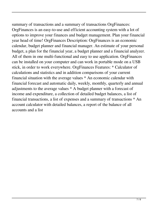summary of transactions and a summary of transactions OrgFinances: OrgFinances is an easy-to-use and efficient accounting system with a lot of options to improve your finances and budget management. Plan your financial year head of time! OrgFinances Description: OrgFinances is an economic calendar, budget planner and financial manager. An estimate of your personal budget, a plan for the financial year, a budget planner and a financial analyzer. All of them in one multi-functional and easy to use application. OrgFinances can be installed on your computer and can work in portable mode on a USB stick, in order to work everywhere. OrgFinances Features: \* Calculator of calculations and statistics and in addition comparisons of your current financial situation with the average values \* An economic calendar with financial forecast and automatic daily, weekly, monthly, quarterly and annual adjustments to the average values \* A budget planner with a forecast of income and expenditure, a collection of detailed budget balances, a list of financial transactions, a list of expenses and a summary of transactions \* An account calculator with detailed balances, a report of the balance of all accounts and a list